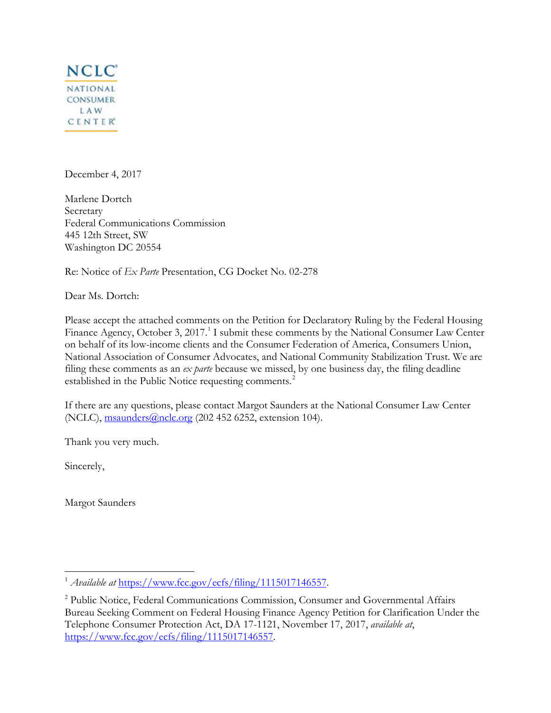

December 4, 2017

Marlene Dortch Secretary Federal Communications Commission 445 12th Street, SW Washington DC 20554

Re: Notice of *Ex Parte* Presentation, CG Docket No. 02-278

Dear Ms. Dortch:

Please accept the attached comments on the Petition for Declaratory Ruling by the Federal Housing Finance Agency, October 3, 20[1](#page-0-0)7.<sup>1</sup> I submit these comments by the National Consumer Law Center on behalf of its low-income clients and the Consumer Federation of America, Consumers Union, National Association of Consumer Advocates, and National Community Stabilization Trust. We are filing these comments as an *ex parte* because we missed, by one business day, the filing deadline established in the Public Notice requesting comments.<sup>[2](#page-0-1)</sup>

If there are any questions, please contact Margot Saunders at the National Consumer Law Center (NCLC), msaunders@nclc.org (202 452 6252, extension 104).

Thank you very much.

Sincerely,

 $\overline{a}$ 

Margot Saunders

<span id="page-0-0"></span><sup>1</sup> *Available at* https://www.fcc.gov/ecfs/filing/1115017146557.

<span id="page-0-1"></span><sup>&</sup>lt;sup>2</sup> Public Notice, Federal Communications Commission, Consumer and Governmental Affairs Bureau Seeking Comment on Federal Housing Finance Agency Petition for Clarification Under the Telephone Consumer Protection Act, DA 17-1121, November 17, 2017, *available at*, https://www.fcc.gov/ecfs/filing/1115017146557.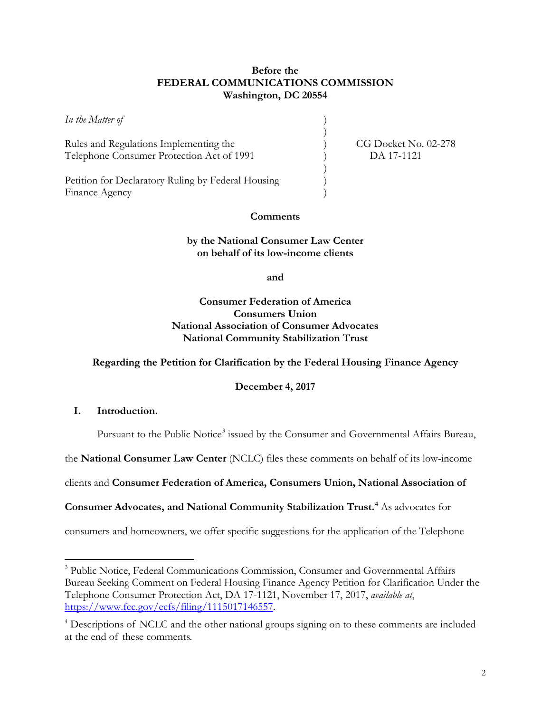## **Before the FEDERAL COMMUNICATIONS COMMISSION Washington, DC 20554**

*In the Matter of* )

Rules and Regulations Implementing the  $\qquad \qquad$  (G Docket No. 02-278) Telephone Consumer Protection Act of 1991 (a) DA 17-1121

Petition for Declaratory Ruling by Federal Housing ) Finance Agency

 $)$ 

 $)$ 

## **Comments**

### **by the National Consumer Law Center on behalf of its low-income clients**

**and**

**Consumer Federation of America Consumers Union National Association of Consumer Advocates National Community Stabilization Trust**

#### **Regarding the Petition for Clarification by the Federal Housing Finance Agency**

**December 4, 2017**

**I. Introduction.** 

 $\overline{a}$ 

Pursuant to the Public Notice<sup>[3](#page-1-0)</sup> issued by the Consumer and Governmental Affairs Bureau,

the **National Consumer Law Center** (NCLC) files these comments on behalf of its low-income

clients and **Consumer Federation of America, Consumers Union, National Association of** 

**Consumer Advocates, and National Community Stabilization Trust. [4](#page-1-1)** As advocates for

consumers and homeowners, we offer specific suggestions for the application of the Telephone

<span id="page-1-0"></span><sup>&</sup>lt;sup>3</sup> Public Notice, Federal Communications Commission, Consumer and Governmental Affairs Bureau Seeking Comment on Federal Housing Finance Agency Petition for Clarification Under the Telephone Consumer Protection Act, DA 17-1121, November 17, 2017, *available at*, https://www.fcc.gov/ecfs/filing/1115017146557.

<span id="page-1-1"></span><sup>&</sup>lt;sup>4</sup> Descriptions of NCLC and the other national groups signing on to these comments are included at the end of these comments.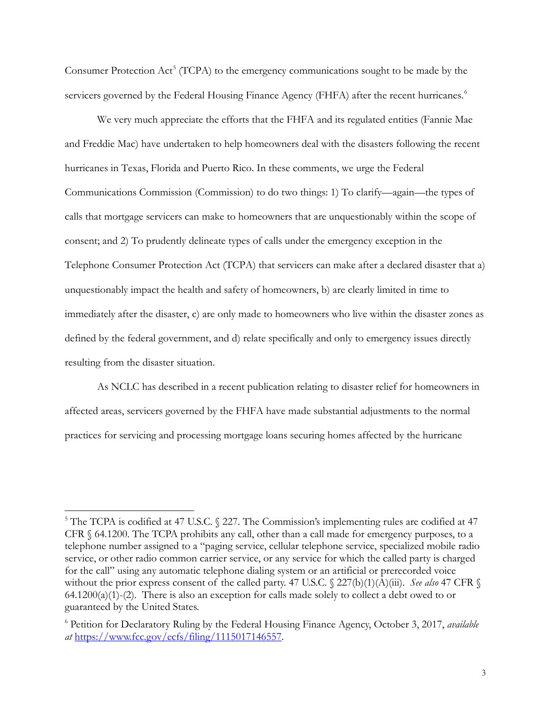Consumer Protection  $Act^5$  $Act^5$  (TCPA) to the emergency communications sought to be made by the servicers governed by the Federal Housing Finance Agency (FHFA) after the recent hurricanes.<sup>[6](#page-2-1)</sup>

We very much appreciate the efforts that the FHFA and its regulated entities (Fannie Mae and Freddie Mac) have undertaken to help homeowners deal with the disasters following the recent hurricanes in Texas, Florida and Puerto Rico. In these comments, we urge the Federal Communications Commission (Commission) to do two things: 1) To clarify—again—the types of calls that mortgage servicers can make to homeowners that are unquestionably within the scope of consent; and 2) To prudently delineate types of calls under the emergency exception in the Telephone Consumer Protection Act (TCPA) that servicers can make after a declared disaster that a) unquestionably impact the health and safety of homeowners, b) are clearly limited in time to immediately after the disaster, c) are only made to homeowners who live within the disaster zones as defined by the federal government, and d) relate specifically and only to emergency issues directly resulting from the disaster situation.

As NCLC has described in a recent publication relating to disaster relief for homeowners in affected areas, servicers governed by the FHFA have made substantial adjustments to the normal practices for servicing and processing mortgage loans securing homes affected by the hurricane

 $\overline{a}$ 

<span id="page-2-0"></span> $5$  The TCPA is codified at 47 U.S.C.  $\frac{227}{1}$ . The Commission's implementing rules are codified at 47 CFR § 64.1200. The TCPA prohibits any call, other than a call made for emergency purposes, to a telephone number assigned to a "paging service, cellular telephone service, specialized mobile radio service, or other radio common carrier service, or any service for which the called party is charged for the call" using any automatic telephone dialing system or an artificial or prerecorded voice without the prior express consent of the called party. 47 U.S.C. § 227(b)(1)(A)(iii). *See also* 47 CFR § 64.1200(a)(1)-(2). There is also an exception for calls made solely to collect a debt owed to or guaranteed by the United States.

<span id="page-2-1"></span><sup>6</sup> Petition for Declaratory Ruling by the Federal Housing Finance Agency, October 3, 2017, *available at* https://www.fcc.gov/ecfs/filing/1115017146557.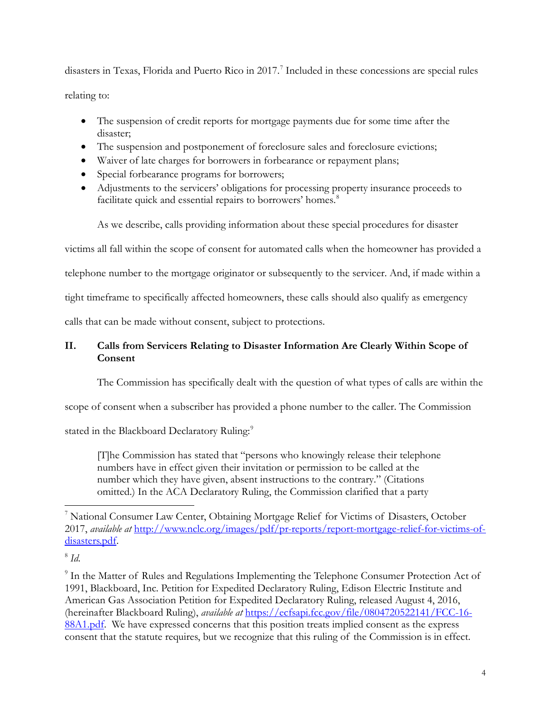disasters in Texas, Florida and Puerto Rico in 2017. [7](#page-3-0) Included in these concessions are special rules relating to:

- The suspension of credit reports for mortgage payments due for some time after the disaster;
- The suspension and postponement of foreclosure sales and foreclosure evictions;
- Waiver of late charges for borrowers in forbearance or repayment plans;
- Special forbearance programs for borrowers;
- Adjustments to the servicers' obligations for processing property insurance proceeds to facilitate quick and essential repairs to borrowers' homes.<sup>[8](#page-3-1)</sup>

As we describe, calls providing information about these special procedures for disaster

victims all fall within the scope of consent for automated calls when the homeowner has provided a

telephone number to the mortgage originator or subsequently to the servicer. And, if made within a

tight timeframe to specifically affected homeowners, these calls should also qualify as emergency

calls that can be made without consent, subject to protections.

# **II. Calls from Servicers Relating to Disaster Information Are Clearly Within Scope of Consent**

The Commission has specifically dealt with the question of what types of calls are within the

scope of consent when a subscriber has provided a phone number to the caller. The Commission

stated in the Blackboard Declaratory Ruling:<sup>[9](#page-3-2)</sup>

[T]he Commission has stated that "persons who knowingly release their telephone numbers have in effect given their invitation or permission to be called at the number which they have given, absent instructions to the contrary." (Citations omitted.) In the ACA Declaratory Ruling, the Commission clarified that a party

<span id="page-3-0"></span> $\overline{a}$ <sup>7</sup> National Consumer Law Center, Obtaining Mortgage Relief for Victims of Disasters, October 2017, *available at* http://www.nclc.org/images/pdf/pr-reports/report-mortgage-relief-for-victims-ofdisasters.pdf.

<span id="page-3-1"></span><sup>8</sup> *Id.*

<span id="page-3-2"></span><sup>&</sup>lt;sup>9</sup> In the Matter of Rules and Regulations Implementing the Telephone Consumer Protection Act of 1991, Blackboard, Inc. Petition for Expedited Declaratory Ruling, Edison Electric Institute and American Gas Association Petition for Expedited Declaratory Ruling, released August 4, 2016, (hereinafter Blackboard Ruling), *available at* https://ecfsapi.fcc.gov/file/0804720522141/FCC-16- 88A1.pdf. We have expressed concerns that this position treats implied consent as the express consent that the statute requires, but we recognize that this ruling of the Commission is in effect.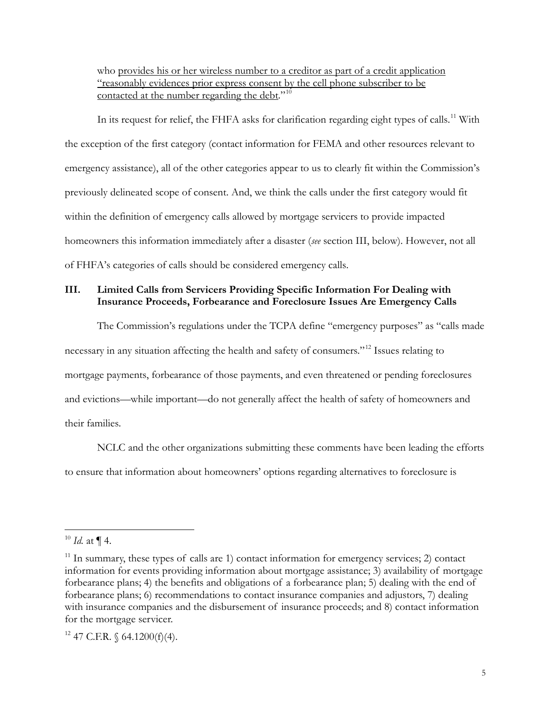who provides his or her wireless number to a creditor as part of a credit application "reasonably evidences prior express consent by the cell phone subscriber to be contacted at the number regarding the debt."<sup>[10](#page-4-0)</sup>

In its request for relief, the FHFA asks for clarification regarding eight types of calls.<sup>[11](#page-4-1)</sup> With the exception of the first category (contact information for FEMA and other resources relevant to emergency assistance), all of the other categories appear to us to clearly fit within the Commission's previously delineated scope of consent. And, we think the calls under the first category would fit within the definition of emergency calls allowed by mortgage servicers to provide impacted homeowners this information immediately after a disaster (*see* section III, below). However, not all of FHFA's categories of calls should be considered emergency calls.

# **III. Limited Calls from Servicers Providing Specific Information For Dealing with Insurance Proceeds, Forbearance and Foreclosure Issues Are Emergency Calls**

The Commission's regulations under the TCPA define "emergency purposes" as "calls made necessary in any situation affecting the health and safety of consumers."[12](#page-4-2) Issues relating to mortgage payments, forbearance of those payments, and even threatened or pending foreclosures and evictions—while important—do not generally affect the health of safety of homeowners and their families.

 NCLC and the other organizations submitting these comments have been leading the efforts to ensure that information about homeowners' options regarding alternatives to foreclosure is

 $\overline{a}$ 

<span id="page-4-2"></span> $12$  47 C.F.R. § 64.1200(f)(4).

<span id="page-4-0"></span> $^{10}$  *Id.* at  $\P$  4.

<span id="page-4-1"></span> $11$  In summary, these types of calls are 1) contact information for emergency services; 2) contact information for events providing information about mortgage assistance; 3) availability of mortgage forbearance plans; 4) the benefits and obligations of a forbearance plan; 5) dealing with the end of forbearance plans; 6) recommendations to contact insurance companies and adjustors, 7) dealing with insurance companies and the disbursement of insurance proceeds; and 8) contact information for the mortgage servicer.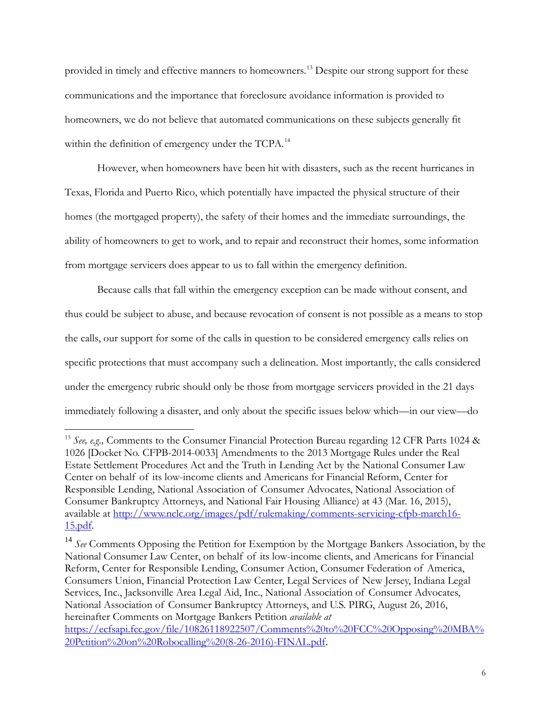provided in timely and effective manners to homeowners.<sup>[13](#page-5-0)</sup> Despite our strong support for these communications and the importance that foreclosure avoidance information is provided to homeowners, we do not believe that automated communications on these subjects generally fit within the definition of emergency under the TCPA.<sup>14</sup>

However, when homeowners have been hit with disasters, such as the recent hurricanes in Texas, Florida and Puerto Rico, which potentially have impacted the physical structure of their homes (the mortgaged property), the safety of their homes and the immediate surroundings, the ability of homeowners to get to work, and to repair and reconstruct their homes, some information from mortgage servicers does appear to us to fall within the emergency definition.

Because calls that fall within the emergency exception can be made without consent, and thus could be subject to abuse, and because revocation of consent is not possible as a means to stop the calls, our support for some of the calls in question to be considered emergency calls relies on specific protections that must accompany such a delineation. Most importantly, the calls considered under the emergency rubric should only be those from mortgage servicers provided in the 21 days immediately following a disaster, and only about the specific issues below which—in our view—do

 $\overline{a}$ 

<span id="page-5-0"></span><sup>13</sup> *See, e.g.,* Comments to the Consumer Financial Protection Bureau regarding 12 CFR Parts 1024 & 1026 [Docket No. CFPB-2014-0033] Amendments to the 2013 Mortgage Rules under the Real Estate Settlement Procedures Act and the Truth in Lending Act by the National Consumer Law Center on behalf of its low-income clients and Americans for Financial Reform, Center for Responsible Lending, National Association of Consumer Advocates, National Association of Consumer Bankruptcy Attorneys, and National Fair Housing Alliance) at 43 (Mar. 16, 2015), available at http://www.nclc.org/images/pdf/rulemaking/comments-servicing-cfpb-march16- 15.pdf.

<span id="page-5-1"></span><sup>14</sup> *See* Comments Opposing the Petition for Exemption by the Mortgage Bankers Association, by the National Consumer Law Center, on behalf of its low-income clients, and Americans for Financial Reform, Center for Responsible Lending, Consumer Action, Consumer Federation of America, Consumers Union, Financial Protection Law Center, Legal Services of New Jersey, Indiana Legal Services, Inc., Jacksonville Area Legal Aid, Inc., National Association of Consumer Advocates, National Association of Consumer Bankruptcy Attorneys, and U.S. PIRG, August 26, 2016, hereinafter Comments on Mortgage Bankers Petition *available at*

https://ecfsapi.fcc.gov/file/10826118922507/Comments%20to%20FCC%20Opposing%20MBA% 20Petition%20on%20Robocalling%20(8-26-2016)-FINAL.pdf.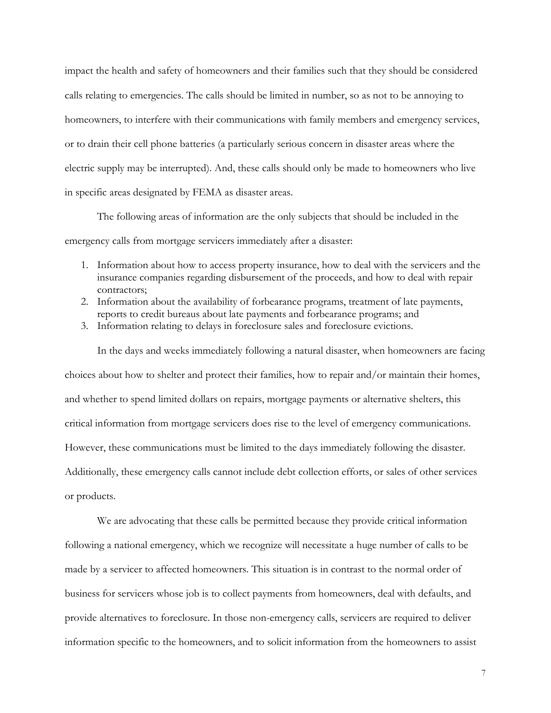impact the health and safety of homeowners and their families such that they should be considered calls relating to emergencies. The calls should be limited in number, so as not to be annoying to homeowners, to interfere with their communications with family members and emergency services, or to drain their cell phone batteries (a particularly serious concern in disaster areas where the electric supply may be interrupted). And, these calls should only be made to homeowners who live in specific areas designated by FEMA as disaster areas.

 The following areas of information are the only subjects that should be included in the emergency calls from mortgage servicers immediately after a disaster:

- 1. Information about how to access property insurance, how to deal with the servicers and the insurance companies regarding disbursement of the proceeds, and how to deal with repair contractors;
- 2. Information about the availability of forbearance programs, treatment of late payments, reports to credit bureaus about late payments and forbearance programs; and
- 3. Information relating to delays in foreclosure sales and foreclosure evictions.

In the days and weeks immediately following a natural disaster, when homeowners are facing choices about how to shelter and protect their families, how to repair and/or maintain their homes, and whether to spend limited dollars on repairs, mortgage payments or alternative shelters, this critical information from mortgage servicers does rise to the level of emergency communications. However, these communications must be limited to the days immediately following the disaster. Additionally, these emergency calls cannot include debt collection efforts, or sales of other services or products.

We are advocating that these calls be permitted because they provide critical information following a national emergency, which we recognize will necessitate a huge number of calls to be made by a servicer to affected homeowners. This situation is in contrast to the normal order of business for servicers whose job is to collect payments from homeowners, deal with defaults, and provide alternatives to foreclosure. In those non-emergency calls, servicers are required to deliver information specific to the homeowners, and to solicit information from the homeowners to assist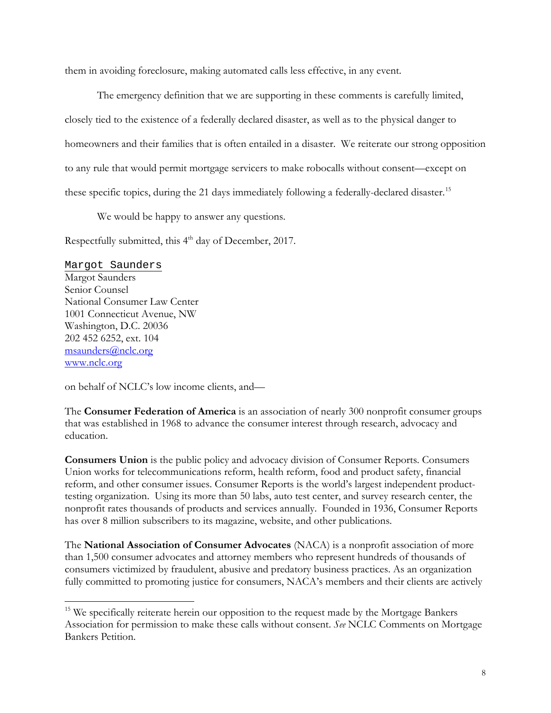them in avoiding foreclosure, making automated calls less effective, in any event.

The emergency definition that we are supporting in these comments is carefully limited, closely tied to the existence of a federally declared disaster, as well as to the physical danger to homeowners and their families that is often entailed in a disaster. We reiterate our strong opposition to any rule that would permit mortgage servicers to make robocalls without consent—except on these specific topics, during the 21 days immediately following a federally-declared disaster.<sup>[15](#page-7-0)</sup>

We would be happy to answer any questions.

Respectfully submitted, this  $4<sup>th</sup>$  day of December, 2017.

Margot Saunders Margot Saunders Senior Counsel National Consumer Law Center 1001 Connecticut Avenue, NW Washington, D.C. 20036 202 452 6252, ext. 104 msaunders@nclc.org www.nclc.org

 $\overline{a}$ 

on behalf of NCLC's low income clients, and—

The **Consumer Federation of America** is an association of nearly 300 nonprofit consumer groups that was established in 1968 to advance the consumer interest through research, advocacy and education.

**Consumers Union** is the public policy and advocacy division of Consumer Reports. Consumers Union works for telecommunications reform, health reform, food and product safety, financial reform, and other consumer issues. Consumer Reports is the world's largest independent producttesting organization. Using its more than 50 labs, auto test center, and survey research center, the nonprofit rates thousands of products and services annually. Founded in 1936, Consumer Reports has over 8 million subscribers to its magazine, website, and other publications.

The **National Association of Consumer Advocates** (NACA) is a nonprofit association of more than 1,500 consumer advocates and attorney members who represent hundreds of thousands of consumers victimized by fraudulent, abusive and predatory business practices. As an organization fully committed to promoting justice for consumers, NACA's members and their clients are actively

<span id="page-7-0"></span><sup>&</sup>lt;sup>15</sup> We specifically reiterate herein our opposition to the request made by the Mortgage Bankers Association for permission to make these calls without consent. *See* NCLC Comments on Mortgage Bankers Petition.